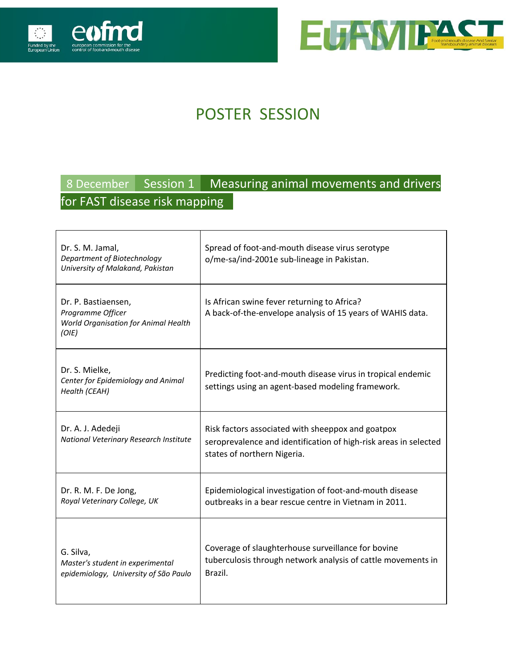



# POSTER SESSION

### 8 December Session 1 Measuring animal movements and drivers for FAST disease risk mapping .

| Dr. S. M. Jamal,<br>Department of Biotechnology<br>University of Malakand, Pakistan       | Spread of foot-and-mouth disease virus serotype<br>o/me-sa/ind-2001e sub-lineage in Pakistan.                                                        |
|-------------------------------------------------------------------------------------------|------------------------------------------------------------------------------------------------------------------------------------------------------|
| Dr. P. Bastiaensen,<br>Programme Officer<br>World Organisation for Animal Health<br>(O/E) | Is African swine fever returning to Africa?<br>A back-of-the-envelope analysis of 15 years of WAHIS data.                                            |
| Dr. S. Mielke,<br>Center for Epidemiology and Animal<br>Health (CEAH)                     | Predicting foot-and-mouth disease virus in tropical endemic<br>settings using an agent-based modeling framework.                                     |
| Dr. A. J. Adedeji<br>National Veterinary Research Institute                               | Risk factors associated with sheeppox and goatpox<br>seroprevalence and identification of high-risk areas in selected<br>states of northern Nigeria. |
| Dr. R. M. F. De Jong,<br>Royal Veterinary College, UK                                     | Epidemiological investigation of foot-and-mouth disease<br>outbreaks in a bear rescue centre in Vietnam in 2011.                                     |
| G. Silva,<br>Master's student in experimental<br>epidemiology, University of São Paulo    | Coverage of slaughterhouse surveillance for bovine<br>tuberculosis through network analysis of cattle movements in<br>Brazil.                        |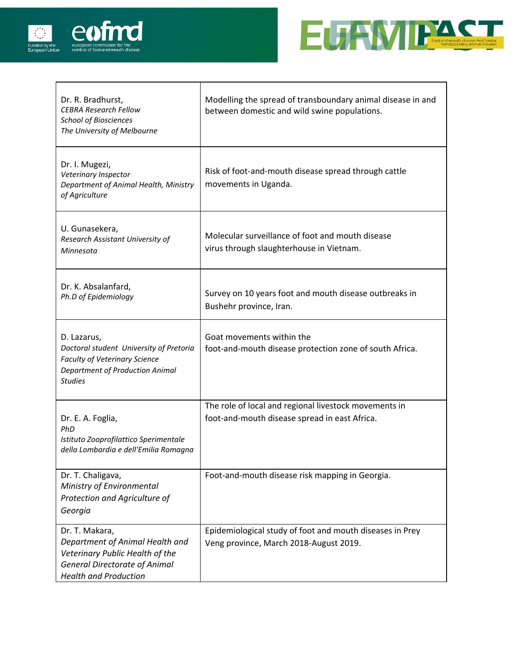



| Dr. R. Bradhurst,<br><b>CEBRA Research Fellow</b><br><b>School of Biosciences</b><br>The University of Melbourne                                             | Modelling the spread of transboundary animal disease in and<br>between domestic and wild swine populations. |
|--------------------------------------------------------------------------------------------------------------------------------------------------------------|-------------------------------------------------------------------------------------------------------------|
| Dr. I. Mugezi,<br>Veterinary Inspector<br>Department of Animal Health, Ministry<br>of Agriculture                                                            | Risk of foot-and-mouth disease spread through cattle<br>movements in Uganda.                                |
| U. Gunasekera,<br>Research Assistant University of<br>Minnesota                                                                                              | Molecular surveillance of foot and mouth disease<br>virus through slaughterhouse in Vietnam.                |
| Dr. K. Absalanfard,<br>Ph.D of Epidemiology                                                                                                                  | Survey on 10 years foot and mouth disease outbreaks in<br>Bushehr province, Iran.                           |
| D. Lazarus,<br>Doctoral student University of Pretoria<br>Faculty of Veterinary Science<br><b>Department of Production Animal</b><br><b>Studies</b>          | Goat movements within the<br>foot-and-mouth disease protection zone of south Africa.                        |
| Dr. E. A. Foglia,<br>PhD<br>Istituto Zooprofilattico Sperimentale<br>della Lombardia e dell'Emilia Romagna                                                   | The role of local and regional livestock movements in<br>foot-and-mouth disease spread in east Africa.      |
| Dr. T. Chaligava,<br>Ministry of Environmental<br>Protection and Agriculture of<br>Georgia                                                                   | Foot-and-mouth disease risk mapping in Georgia.                                                             |
| Dr. T. Makara,<br>Department of Animal Health and<br>Veterinary Public Health of the<br><b>General Directorate of Animal</b><br><b>Health and Production</b> | Epidemiological study of foot and mouth diseases in Prey<br>Veng province, March 2018-August 2019.          |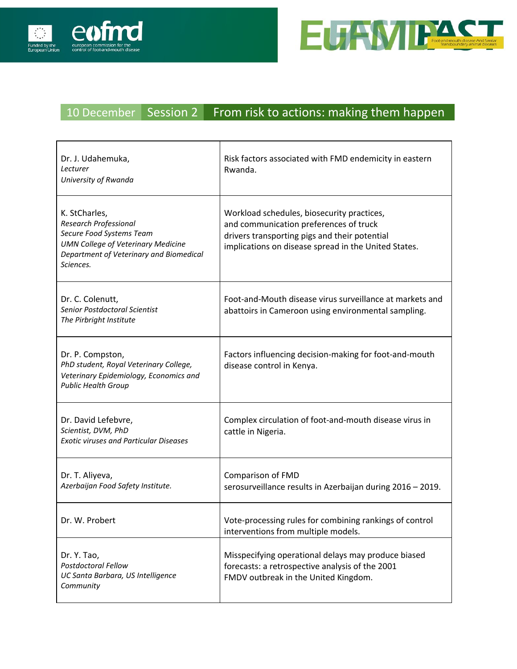



#### 10 December Session 2 From risk to actions: making them happen

| Dr. J. Udahemuka,<br>Lecturer<br>University of Rwanda                                                                                                                          | Risk factors associated with FMD endemicity in eastern<br>Rwanda.                                                                                                                             |
|--------------------------------------------------------------------------------------------------------------------------------------------------------------------------------|-----------------------------------------------------------------------------------------------------------------------------------------------------------------------------------------------|
| K. StCharles,<br><b>Research Professional</b><br>Secure Food Systems Team<br><b>UMN College of Veterinary Medicine</b><br>Department of Veterinary and Biomedical<br>Sciences. | Workload schedules, biosecurity practices,<br>and communication preferences of truck<br>drivers transporting pigs and their potential<br>implications on disease spread in the United States. |
| Dr. C. Colenutt,<br>Senior Postdoctoral Scientist<br>The Pirbright Institute                                                                                                   | Foot-and-Mouth disease virus surveillance at markets and<br>abattoirs in Cameroon using environmental sampling.                                                                               |
| Dr. P. Compston,<br>PhD student, Royal Veterinary College,<br>Veterinary Epidemiology, Economics and<br><b>Public Health Group</b>                                             | Factors influencing decision-making for foot-and-mouth<br>disease control in Kenya.                                                                                                           |
| Dr. David Lefebvre,<br>Scientist, DVM, PhD<br><b>Exotic viruses and Particular Diseases</b>                                                                                    | Complex circulation of foot-and-mouth disease virus in<br>cattle in Nigeria.                                                                                                                  |
| Dr. T. Aliyeva,<br>Azerbaijan Food Safety Institute.                                                                                                                           | Comparison of FMD<br>serosurveillance results in Azerbaijan during 2016 - 2019.                                                                                                               |
| Dr. W. Probert                                                                                                                                                                 | Vote-processing rules for combining rankings of control<br>interventions from multiple models.                                                                                                |
| Dr. Y. Tao,<br>Postdoctoral Fellow<br>UC Santa Barbara, US Intelligence<br>Community                                                                                           | Misspecifying operational delays may produce biased<br>forecasts: a retrospective analysis of the 2001<br>FMDV outbreak in the United Kingdom.                                                |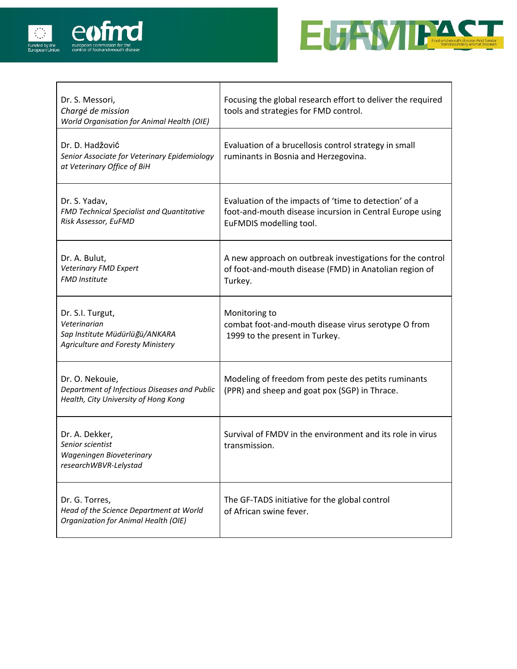



| Dr. S. Messori,<br>Chargé de mission<br>World Organisation for Animal Health (OIE)                             | Focusing the global research effort to deliver the required<br>tools and strategies for FMD control.                                         |
|----------------------------------------------------------------------------------------------------------------|----------------------------------------------------------------------------------------------------------------------------------------------|
| Dr. D. Hadžović<br>Senior Associate for Veterinary Epidemiology<br>at Veterinary Office of BiH                 | Evaluation of a brucellosis control strategy in small<br>ruminants in Bosnia and Herzegovina.                                                |
| Dr. S. Yadav,<br>FMD Technical Specialist and Quantitative<br>Risk Assessor, EuFMD                             | Evaluation of the impacts of 'time to detection' of a<br>foot-and-mouth disease incursion in Central Europe using<br>EuFMDIS modelling tool. |
| Dr. A. Bulut,<br>Veterinary FMD Expert<br><b>FMD Institute</b>                                                 | A new approach on outbreak investigations for the control<br>of foot-and-mouth disease (FMD) in Anatolian region of<br>Turkey.               |
| Dr. S.I. Turgut,<br>Veterinarian<br>Sap Institute Müdürlüğü/ANKARA<br><b>Agriculture and Foresty Ministery</b> | Monitoring to<br>combat foot-and-mouth disease virus serotype O from<br>1999 to the present in Turkey.                                       |
| Dr. O. Nekouie,<br>Department of Infectious Diseases and Public<br>Health, City University of Hong Kong        | Modeling of freedom from peste des petits ruminants<br>(PPR) and sheep and goat pox (SGP) in Thrace.                                         |
| Dr. A. Dekker,<br>Senior scientist<br>Wageningen Bioveterinary<br>researchWBVR-Lelystad                        | Survival of FMDV in the environment and its role in virus<br>transmission.                                                                   |
| Dr. G. Torres,<br>Head of the Science Department at World<br>Organization for Animal Health (OIE)              | The GF-TADS initiative for the global control<br>of African swine fever.                                                                     |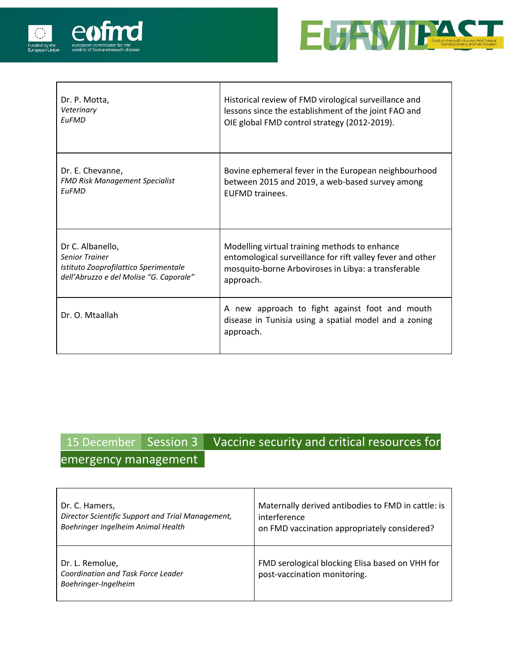



| Dr. P. Motta,                           | Historical review of FMD virological surveillance and                                                                |
|-----------------------------------------|----------------------------------------------------------------------------------------------------------------------|
| Veterinary                              | lessons since the establishment of the joint FAO and                                                                 |
| <b>EuFMD</b>                            | OIE global FMD control strategy (2012-2019).                                                                         |
| Dr. E. Chevanne,                        | Bovine ephemeral fever in the European neighbourhood                                                                 |
| <b>FMD Risk Management Specialist</b>   | between 2015 and 2019, a web-based survey among                                                                      |
| <b>FuFMD</b>                            | <b>FUFMD trainees.</b>                                                                                               |
| Dr C. Albanello,                        | Modelling virtual training methods to enhance                                                                        |
| <b>Senior Trainer</b>                   | entomological surveillance for rift valley fever and other                                                           |
| Istituto Zooprofilattico Sperimentale   | mosquito-borne Arboviroses in Libya: a transferable                                                                  |
| dell'Abruzzo e del Molise "G. Caporale" | approach.                                                                                                            |
| Dr. O. Mtaallah                         | A new approach to fight against foot and mouth<br>disease in Tunisia using a spatial model and a zoning<br>approach. |

# 15 December Session 3 Vaccine security and critical resources for

### emergency management

| Dr. C. Hamers,                                                                | Maternally derived antibodies to FMD in cattle: is                              |
|-------------------------------------------------------------------------------|---------------------------------------------------------------------------------|
| Director Scientific Support and Trial Management,                             | interference                                                                    |
| Boehringer Ingelheim Animal Health                                            | on FMD vaccination appropriately considered?                                    |
| Dr. L. Remolue,<br>Coordination and Task Force Leader<br>Boehringer-Ingelheim | FMD serological blocking Elisa based on VHH for<br>post-vaccination monitoring. |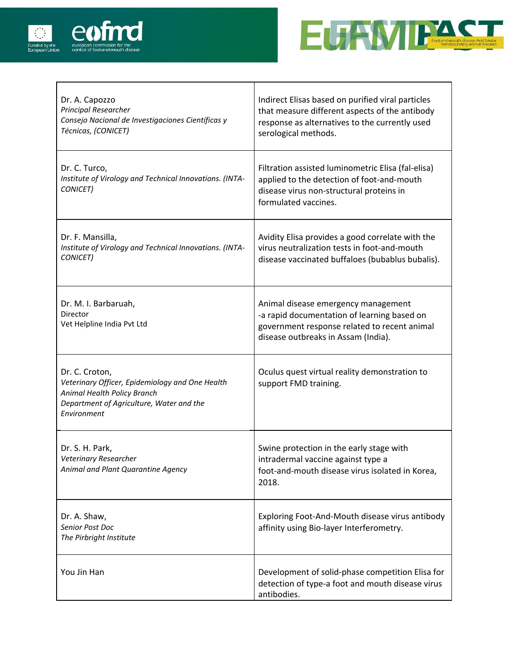



| Dr. A. Capozzo<br><b>Principal Researcher</b><br>Consejo Nacional de Investigaciones Científicas y<br>Técnicas, (CONICET)                                   | Indirect Elisas based on purified viral particles<br>that measure different aspects of the antibody<br>response as alternatives to the currently used<br>serological methods. |
|-------------------------------------------------------------------------------------------------------------------------------------------------------------|-------------------------------------------------------------------------------------------------------------------------------------------------------------------------------|
| Dr. C. Turco,<br>Institute of Virology and Technical Innovations. (INTA-<br>CONICET)                                                                        | Filtration assisted luminometric Elisa (fal-elisa)<br>applied to the detection of foot-and-mouth<br>disease virus non-structural proteins in<br>formulated vaccines.          |
| Dr. F. Mansilla,<br>Institute of Virology and Technical Innovations. (INTA-<br>CONICET)                                                                     | Avidity Elisa provides a good correlate with the<br>virus neutralization tests in foot-and-mouth<br>disease vaccinated buffaloes (bubablus bubalis).                          |
| Dr. M. I. Barbaruah,<br>Director<br>Vet Helpline India Pvt Ltd                                                                                              | Animal disease emergency management<br>-a rapid documentation of learning based on<br>government response related to recent animal<br>disease outbreaks in Assam (India).     |
| Dr. C. Croton,<br>Veterinary Officer, Epidemiology and One Health<br>Animal Health Policy Branch<br>Department of Agriculture, Water and the<br>Environment | Oculus quest virtual reality demonstration to<br>support FMD training.                                                                                                        |
| Dr. S. H. Park,<br>Veterinary Researcher<br>Animal and Plant Quarantine Agency                                                                              | Swine protection in the early stage with<br>intradermal vaccine against type a<br>foot-and-mouth disease virus isolated in Korea,<br>2018.                                    |
| Dr. A. Shaw,<br><b>Senior Post Doc</b><br>The Pirbright Institute                                                                                           | Exploring Foot-And-Mouth disease virus antibody<br>affinity using Bio-layer Interferometry.                                                                                   |
| You Jin Han                                                                                                                                                 | Development of solid-phase competition Elisa for<br>detection of type-a foot and mouth disease virus<br>antibodies.                                                           |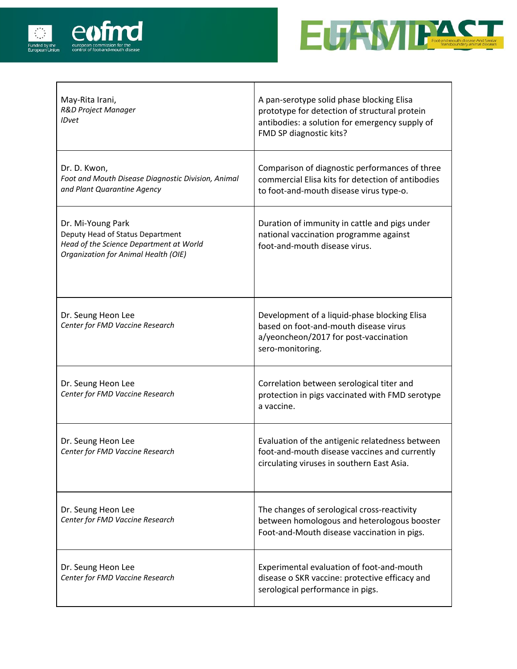



| May-Rita Irani,<br><b>R&amp;D Project Manager</b><br><b>IDvet</b>                                                                        | A pan-serotype solid phase blocking Elisa<br>prototype for detection of structural protein<br>antibodies: a solution for emergency supply of<br>FMD SP diagnostic kits? |
|------------------------------------------------------------------------------------------------------------------------------------------|-------------------------------------------------------------------------------------------------------------------------------------------------------------------------|
| Dr. D. Kwon,<br>Foot and Mouth Disease Diagnostic Division, Animal<br>and Plant Quarantine Agency                                        | Comparison of diagnostic performances of three<br>commercial Elisa kits for detection of antibodies<br>to foot-and-mouth disease virus type-o.                          |
| Dr. Mi-Young Park<br>Deputy Head of Status Department<br>Head of the Science Department at World<br>Organization for Animal Health (OIE) | Duration of immunity in cattle and pigs under<br>national vaccination programme against<br>foot-and-mouth disease virus.                                                |
| Dr. Seung Heon Lee<br>Center for FMD Vaccine Research                                                                                    | Development of a liquid-phase blocking Elisa<br>based on foot-and-mouth disease virus<br>a/yeoncheon/2017 for post-vaccination<br>sero-monitoring.                      |
| Dr. Seung Heon Lee<br>Center for FMD Vaccine Research                                                                                    | Correlation between serological titer and<br>protection in pigs vaccinated with FMD serotype<br>a vaccine.                                                              |
| Dr. Seung Heon Lee<br>Center for FMD Vaccine Research                                                                                    | Evaluation of the antigenic relatedness between<br>foot-and-mouth disease vaccines and currently<br>circulating viruses in southern East Asia.                          |
| Dr. Seung Heon Lee<br>Center for FMD Vaccine Research                                                                                    | The changes of serological cross-reactivity<br>between homologous and heterologous booster<br>Foot-and-Mouth disease vaccination in pigs.                               |
| Dr. Seung Heon Lee<br>Center for FMD Vaccine Research                                                                                    | Experimental evaluation of foot-and-mouth<br>disease o SKR vaccine: protective efficacy and<br>serological performance in pigs.                                         |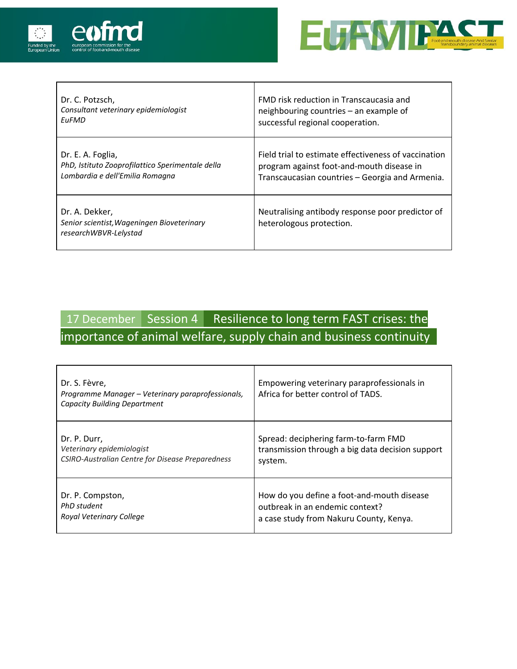

 $\overline{1}$ 



| Dr. C. Potzsch,                                                                       | FMD risk reduction in Transcaucasia and                                      |
|---------------------------------------------------------------------------------------|------------------------------------------------------------------------------|
| Consultant veterinary epidemiologist                                                  | neighbouring countries – an example of                                       |
| <b>FuFMD</b>                                                                          | successful regional cooperation.                                             |
| Dr. E. A. Foglia,                                                                     | Field trial to estimate effectiveness of vaccination                         |
| PhD, Istituto Zooprofilattico Sperimentale della                                      | program against foot-and-mouth disease in                                    |
| Lombardia e dell'Emilia Romagna                                                       | Transcaucasian countries - Georgia and Armenia.                              |
| Dr. A. Dekker,<br>Senior scientist, Wageningen Bioveterinary<br>researchWBVR-Lelystad | Neutralising antibody response poor predictor of<br>heterologous protection. |

## 17 December Session 4 Resilience to long term FAST crises: the importance of animal welfare, supply chain and business continuity

| Dr. S. Fèvre,<br>Programme Manager - Veterinary paraprofessionals,<br><b>Capacity Building Department</b> | Empowering veterinary paraprofessionals in<br>Africa for better control of TADS. |
|-----------------------------------------------------------------------------------------------------------|----------------------------------------------------------------------------------|
| Dr. P. Durr,                                                                                              | Spread: deciphering farm-to-farm FMD                                             |
| Veterinary epidemiologist                                                                                 | transmission through a big data decision support                                 |
| CSIRO-Australian Centre for Disease Preparedness                                                          | system.                                                                          |
| Dr. P. Compston,                                                                                          | How do you define a foot-and-mouth disease                                       |
| PhD student                                                                                               | outbreak in an endemic context?                                                  |
| Royal Veterinary College                                                                                  | a case study from Nakuru County, Kenya.                                          |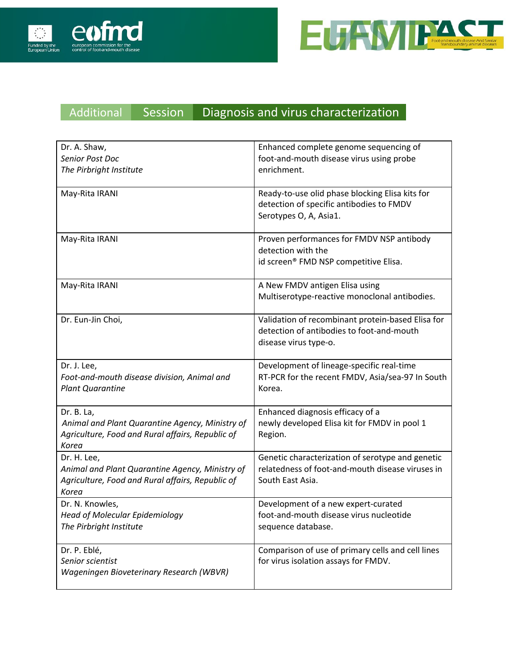



#### Additional Session Diagnosis and virus characterization

| Dr. A. Shaw,                                                                                                                | Enhanced complete genome sequencing of                                                                                   |
|-----------------------------------------------------------------------------------------------------------------------------|--------------------------------------------------------------------------------------------------------------------------|
| Senior Post Doc                                                                                                             | foot-and-mouth disease virus using probe                                                                                 |
| The Pirbright Institute                                                                                                     | enrichment.                                                                                                              |
| May-Rita IRANI                                                                                                              | Ready-to-use olid phase blocking Elisa kits for<br>detection of specific antibodies to FMDV<br>Serotypes O, A, Asia1.    |
| May-Rita IRANI                                                                                                              | Proven performances for FMDV NSP antibody<br>detection with the<br>id screen® FMD NSP competitive Elisa.                 |
| May-Rita IRANI                                                                                                              | A New FMDV antigen Elisa using<br>Multiserotype-reactive monoclonal antibodies.                                          |
| Dr. Eun-Jin Choi,                                                                                                           | Validation of recombinant protein-based Elisa for<br>detection of antibodies to foot-and-mouth<br>disease virus type-o.  |
| Dr. J. Lee,<br>Foot-and-mouth disease division, Animal and<br><b>Plant Quarantine</b>                                       | Development of lineage-specific real-time<br>RT-PCR for the recent FMDV, Asia/sea-97 In South<br>Korea.                  |
| Dr. B. La,<br>Animal and Plant Quarantine Agency, Ministry of<br>Agriculture, Food and Rural affairs, Republic of<br>Korea  | Enhanced diagnosis efficacy of a<br>newly developed Elisa kit for FMDV in pool 1<br>Region.                              |
| Dr. H. Lee,<br>Animal and Plant Quarantine Agency, Ministry of<br>Agriculture, Food and Rural affairs, Republic of<br>Korea | Genetic characterization of serotype and genetic<br>relatedness of foot-and-mouth disease viruses in<br>South East Asia. |
| Dr. N. Knowles,<br><b>Head of Molecular Epidemiology</b><br>The Pirbright Institute                                         | Development of a new expert-curated<br>foot-and-mouth disease virus nucleotide<br>sequence database.                     |
| Dr. P. Eblé,<br>Senior scientist<br>Wageningen Bioveterinary Research (WBVR)                                                | Comparison of use of primary cells and cell lines<br>for virus isolation assays for FMDV.                                |